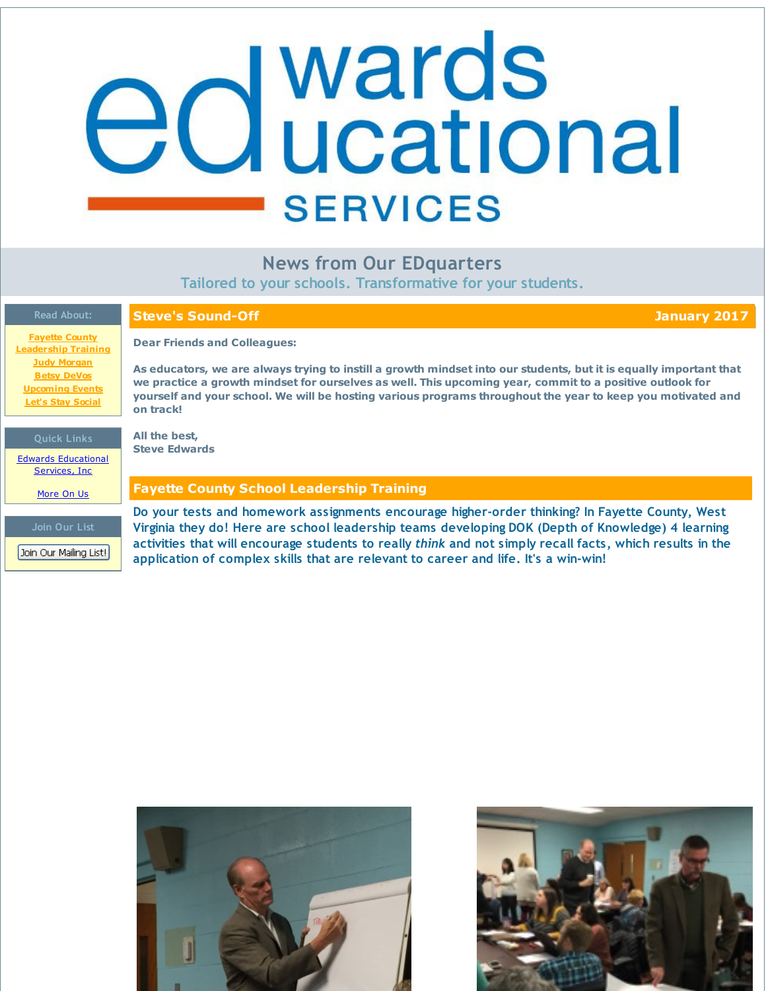# <span id="page-0-0"></span>edwards **SERVICES**

# **News from Our EDquarters**

**Tailored to your schools. Transformative for your students.**

| <b>Read About:</b>                                                                             | <b>Steve's Sound-Off</b><br>January 2017                                                                                                                                                                                                                                                                                                                   |
|------------------------------------------------------------------------------------------------|------------------------------------------------------------------------------------------------------------------------------------------------------------------------------------------------------------------------------------------------------------------------------------------------------------------------------------------------------------|
| <b>Fayette County</b><br><b>Leadership Training</b>                                            | <b>Dear Friends and Colleagues:</b>                                                                                                                                                                                                                                                                                                                        |
| <b>Judy Morgan</b><br><b>Betsy DeVos</b><br><b>Upcoming Events</b><br><b>Let's Stay Social</b> | As educators, we are always trying to instill a growth mindset into our students, but it is equally important that<br>we practice a growth mindset for ourselves as well. This upcoming year, commit to a positive outlook for<br>yourself and your school. We will be hosting various programs throughout the year to keep you motivated and<br>on track! |
|                                                                                                |                                                                                                                                                                                                                                                                                                                                                            |
| <b>Quick Links</b>                                                                             | All the best,<br><b>Steve Edwards</b>                                                                                                                                                                                                                                                                                                                      |
| <b>Edwards Educational</b><br>Services, Inc.                                                   |                                                                                                                                                                                                                                                                                                                                                            |
| More On Us                                                                                     | <b>Fayette County School Leadership Training</b>                                                                                                                                                                                                                                                                                                           |
|                                                                                                | Do your tests and homework assignments encourage higher-order thinking? In Fayette County, West                                                                                                                                                                                                                                                            |
| Join Our List                                                                                  | Virginia they do! Here are school leadership teams developing DOK (Depth of Knowledge) 4 learning                                                                                                                                                                                                                                                          |
| Join Our Mailing List!                                                                         | activities that will encourage students to really think and not simply recall facts, which results in the<br>application of complex skills that are relevant to career and life. It's a win-win!                                                                                                                                                           |



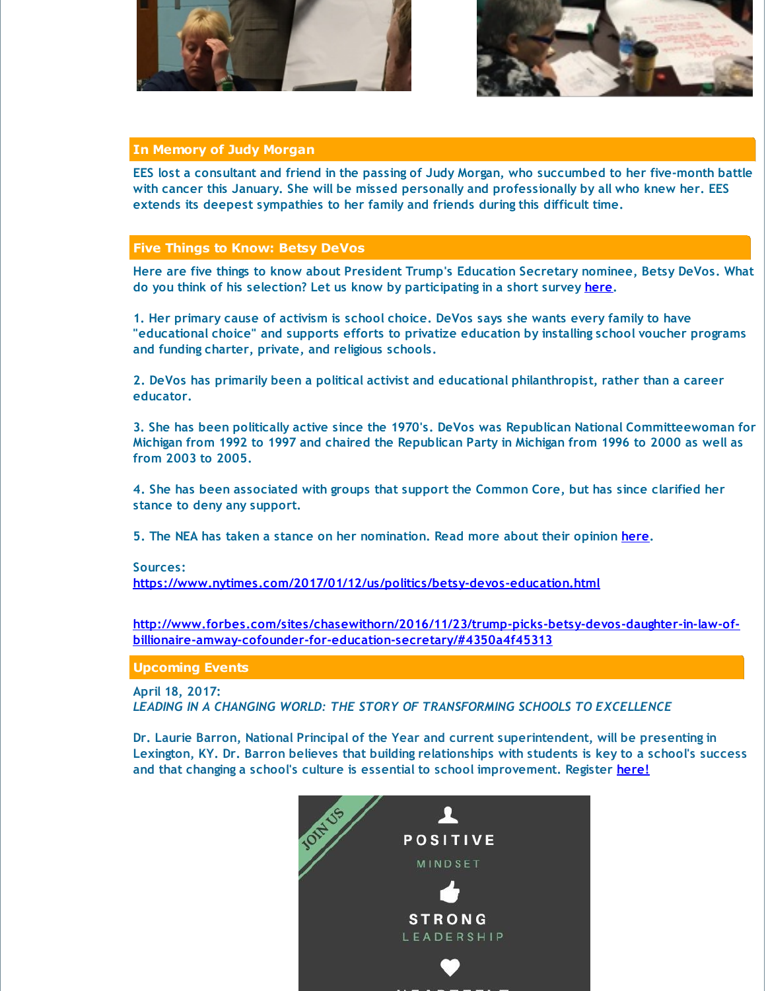



## **In Memory of Judy Morgan**

EES lost a consultant and friend in the passing of Judy Morgan, who succumbed to her five-month battle **with cancer this January. She will be missed personally and professionally by all who knew her. EES extends its deepest sympathies to her family and friends during this difficult time.**

## **Five Things to Know: Betsy DeVos**

**Here are five things to know about President Trump's Education Secretary nominee, Betsy DeVos. What do you think of his selection? Let us know by participating in a short survey [here](http://r20.rs6.net/tn.jsp?f=001hU0ebP0EFvwvU_yk3_Wf9kj8STFeLhU614tIB4A9mF2QXeo1VcXDecb5tYHc4pYfHABL1SAf1Xl9-dF3bvsnhwv3fBNr1QgFNsA3iMFl5CiwHY5YrOmWdsURGgTnNuxfDNPvo3W2t3JGY0mWFpF9r-xzC1wo3nv2_Z56FyVCcuito0PCKcbLtCmggZndNmfNVNzVlVOfbxtv-ui82Tgkizm-MakGZmVBH-pWGKWnQF_Ey7_CTofyct1huo410FA9Ovi_5MiO6xZAaPBCrev3m_16X1DWUKMdDcCI3-tTwDJ5WKKslyqbOwtyXmTiaFnr&c=&ch=).**

**1. Her primary cause of activism is school choice. DeVos says she wants every family to have "educational choice" and supports efforts to privatize education by installing school voucher programs and funding charter, private, and religious schools.**

**2. DeVos has primarily been a political activist and educational philanthropist, rather than a career educator.**

**3. She has been politically active since the 1970's. DeVos was Republican National Committeewoman for** Michigan from 1992 to 1997 and chaired the Republican Party in Michigan from 1996 to 2000 as well as **from 2003 to 2005.**

**4. She has been associated with groups that support the Common Core, but has since clarified her stance to deny any support.**

**5. The NEA has taken a stance on her nomination. Read more about their opinion [here](http://r20.rs6.net/tn.jsp?f=001hU0ebP0EFvwvU_yk3_Wf9kj8STFeLhU614tIB4A9mF2QXeo1VcXDecb5tYHc4pYfh3Gap_-52BO69X1bKSc6W4jaFiU9EWSbMlIjcHtNirQX_TgdXx3R21izdaIsazkai0jPLH8PKy25q8yu1WAW9Ub2yybetzs5rrB-fLTYmpLInXHX4K3QYHPBwRa5FyktI-dIY8eVMbwH_U3GLZc_5gbFdMOYxHhLHhde4fJz-KTwRlesLPDEE0GLi3VjDRIclNm7Js_lBz0sHArFU0jxMWibQfqoY--9CjF1Gm5eEUJKERVWezPeiSZEIfEUO9IrWRUQgdao6Fc=&c=&ch=).**

### **Sources:**

**[https://www.nytimes.com/2017/01/12/us/politics/betsy-devos-education.html](http://r20.rs6.net/tn.jsp?f=001hU0ebP0EFvwvU_yk3_Wf9kj8STFeLhU614tIB4A9mF2QXeo1VcXDecb5tYHc4pYflI71eEOh0j0dOqiv0Qkw3BBTiEjWdAV8nPau-pMnq9H2PWdFSG7jc9LEWJzl5se7pNgGINAKFtPC1_SmUAOwYWaww9oQunAvs7jqO5NYwJUBTwf-QAdZFJm9tHBWPsLtOZTm7lsQ9SHfmGYJsDcZ7MFjWjj9WgN-OSupvgCRoayNaMERQXS7AkA7zF5pNpaM&c=&ch=)**

**[http://www.forbes.com/sites/chasewithorn/2016/11/23/trump-picks-betsy-devos-daughter-in-law-of](http://r20.rs6.net/tn.jsp?f=001hU0ebP0EFvwvU_yk3_Wf9kj8STFeLhU614tIB4A9mF2QXeo1VcXDecb5tYHc4pYfFKlEX91yaqNsAqGlg4XW13V5bqci50Bvde8jHDCLpuVdLLNkeZIshKBZonwsph9RimCbPji-eTvYVuG0c9EEZ9CYaU6j6TPMr8cfE9QGSrAcqGyuGMzDWoweWQq4gu9XB3QhfHczr8aSWYzoduFwB4uLlpYwD_pke7v5WWTooM5qO2oXqof_1hSivrqNWSLge8eo0P8Ltzyjbz3XfwufKxJlBBFRBtq3KcHsWam3QHrrknKjolauGVK90bQfcG4_IylTluVuXmD4ZB49FiSHtAnu6olTs0uuj_3y5q2Bdl90LtfM_ruo2w==&c=&ch=)billionaire-amway-cofounder-for-education-secretary/#4350a4f45313**

**Upcoming Events**

**April 18, 2017:**

*LEADING IN A CHANGING WORLD: THE STORY OF TRANSFORMING SCHOOLS TO EXCELLENCE*

**Dr. Laurie Barron, National Principal of the Year and current superintendent, will be presenting in Lexington, KY. Dr. Barron believes that building relationships with students is key to a school's success and that changing a school's culture is essential to school improvement. Register [here!](http://r20.rs6.net/tn.jsp?f=001hU0ebP0EFvwvU_yk3_Wf9kj8STFeLhU614tIB4A9mF2QXeo1VcXDeRgwRcj18QrhmCBMk7zq71GLQg24IwrWGvbWrOschtSL6_AV95MaID6VAgcWythyX88QDb10tEhsRdej0QNEIqenLKxsrpGjaQR4k0cTm5f0GhXju8-LWfXN_UGeBYuWg_hx9LPTbXJNeIYuTVjT6NUchmEX8jKT-wKz91_Ot81hnpFvcSRFkio=&c=&ch=)**